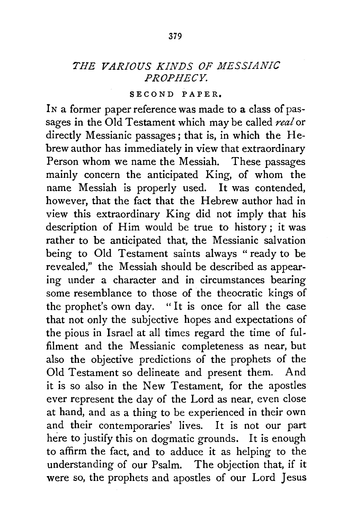## *THE VARIOUS KINDS OF MESSIANIC PROPHECY.*

## SECOND PAPER.

In a former paper reference was made to a class of passages in the Old Testament which may be called *real* or directly Messianic passages; that is, in which the Hebrew author has immediately in view that extraordinary Person whom we name the Messiah. These passages mainly concern the anticipated King, of whom the name Messiah is properly used. It was contended, however, that the fact that the Hebrew author had in view this extraordinary King did not imply that his description of Him would be true to history; it was rather to be anticipated that, the Messianic salvation being to Old Testament saints always "ready to be revealed," the Messiah should be described as appearing under a character and in circumstances bearing some resemblance to those of the theocratic kings of the prophet's own day. "It is once for all the case that not only the subjective hopes and expectations of the pious in Israel at all times regard the time of fulfilment and the Messianic completeness as near, but also the objective predictions of the prophets of the Old Testament so delineate and present them. And it is so also in the New Testament, for the apostles ever represent the day of the Lord as near, even close at hand, and as a thing to be experienced in their own and their contemporaries' lives. It is not our part here to justify this on dogmatic grounds. It is enough to affirm the fact, and to adduce it as helping to the understanding of our Psalm. The objection that, if it were so, the prophets and apostles of our Lord Jesus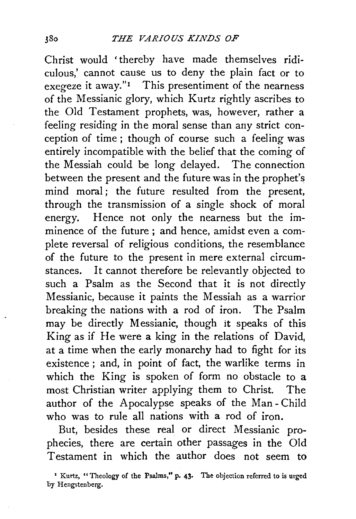Christ would 'thereby have made themselves ridiculous,' cannot cause us to deny the plain fact or to exegeze it away." $\mathbf{I}$  This presentiment of the nearness of the Messianic glory, which Kurtz rightly ascribes to the Old Testament prophets, was, however, rather a feeling residing in the moral sense than any strict conception of time ; though of course such a feeling was entirely incompatible with the belief that the coming of the Messiah could be long delayed. The connection between the present and the future was in the prophet's mind moral; the future resulted from the present, through the transmission of a single shock of moral energy. Hence not only the nearness but the imminence of the future ; and hence, amidst even a complete reversal of religious conditions, the resemblance of the future to the present in mere external circumstances. It cannot therefore be relevantly objected to such a Psalm as the Second that it is not directly Messianic, because it paints the Messiah as a warrior breaking the nations with a rod of iron. The Psalm may be directly Messianic, though it speaks of this King as if He were a king in the relations of David, at a time when the early monarchy had to fight for its existence ; and, in point of fact, the warlike terms in which the King is spoken of form no obstacle to a most Christian writer applying them to Christ. The author of the Apocalypse speaks of the Man- Child who was to rule all nations with a rod of iron.

But, besides these real or direct Messianic prophecies, there are certain other passages in the Old Testament in which the author does not seem to

<sup>•</sup> Kurtz, "Theology of the Psalms," p. 43• The objection referred to is urged by Hengstenberg.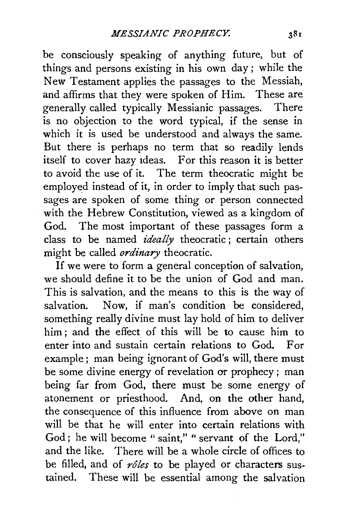be consciously speaking of anything future, but of things and persons existing in his own day ; while the New Testament applies the passages to the Messiah, and affirms that they were spoken of Him. These are generally called typically Messianic passages. There is no objection to the word typical, if the sense in which it is used be understood and always the same. But there is perhaps no term that so readily lends itself to cover hazy ideas. For this reason it is better to avoid the use of it. The term theocratic might be employed instead of it, in order to imply that such passages are spoken of some thing or person connected with the Hebrew Constitution, viewed as a kingdom of God. The most important of these passages form a class to be named *ideally* theocratic ; certain others might be called *ordinary* theocratic.

If we were to form a general conception of salvation, we should define it to be the union of God and man. This is salvation, and the means to this is the way of salvation. Now, if man's condition be considered, something really divine must lay hold of him to deliver him ; and the effect of this will be to cause him to enter into and sustain certain relations to God. For example; man being ignorant of God's will, there must be some divine energy of revelation or prophecy ; man being far from God, there must be some energy of atonement or priesthood. And, on the other hand, the consequence of this influence from above on man will be that he will enter into certain relations with God; he will become "saint," " servant of the Lord," and the like. There will be a whole circle of offices to be filled, and of *roles* to be played or characters sustained. These will be essential among the salvation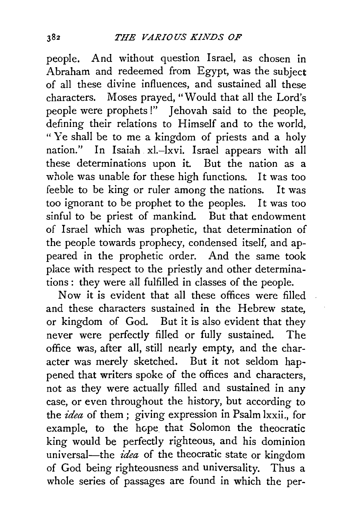people. And without question Israel, as chosen in Abraham and redeemed from Egypt, was the subject of all these divine influences, and sustained all these characters. Moses prayed, "Would that all the Lord's people were prophets!" Jehovah said to the people, defining their relations to Himself and to the world, " Ye shall be to me a kingdom of priests and a holy nation." In Isaiah xl.-lxvi. Israel appears with all these determinations upon it. But the nation as a whole was unable for these high functions. It was too feeble to be king or ruler among the nations. It was too ignorant to be prophet to the peoples. It was too sinful to be priest of mankind. But that endowment of Israel which was prophetic, that determination of the people towards prophecy, condensed itself, and appeared in the prophetic order. And the same took place with respect to the priestly and other determinations : they were all fulfilled in classes of the people.

Now it is evident that all these offices were filled and these characters sustained in the Hebrew state, or kingdom of God. But it is also evident that they never were perfectly filled or fully sustained. The office was, after all, still nearly empty, and the character was merely sketched. But it not seldom happened that writers spoke of the offices and characters, not as they were actually filled and sustained in any case, or even throughout the history, but according to the *idea* of them ; giving expression in Psalm lxxii., for example, to the hope that Solomon the theocratic king would be perfectly righteous, and his dominion universal-the *idea* of the theocratic state or kingdom of God being righteousness and universality. Thus a whole series of passages are found in which the per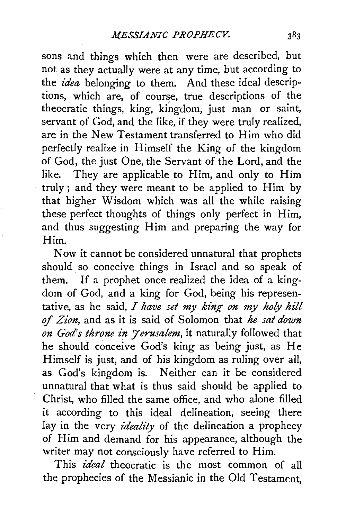sons and things which then were are described, but not as they actually were at any time, but according to the *idea* belonging to them. And these ideal descriptions, which are, of course, true descriptions of the theocratic things, king, kingdom, just man or saint, servant of God, and the like, if they were truly realized, are in the New Testament transferred to Him who did perfectly realize in Himself the King of the kingdom of God, the just One, the Servant of the Lord, and the like. They are applicable to Him, and only to Him truly; and they were meant to be applied to Him by that higher Wisdom which was all the while raising these perfect thoughts of things only perfect in Him, and thus suggesting Him and preparing the way for Him.

Now it cannot be considered unnatural that prophets should so conceive things in Israel and so speak of them. If a prophet once realized the idea of a kingdom of God, and a king for God, being his representative, as he said, *I have set my king on my holy hill of Zion,* and as it is said of Solomon that *he sat down on God's throne in Jerusalem*, it naturally followed that he should conceive God's king as being just, as He Himself is just, and of his kingdom as ruling over all, as God's kingdom is. Neither can it be considered unnatural that what is thus said should be applied to Christ, who filled the same office, and who alone filled it according to this ideal delineation, seeing there lay in the very *ideality* of the delineation a prophecy of Him and demand for his appearance, although the writer may not consciously have referred to Him.

This *ideal* theocratic is the most common of all the prophecies of the Messianic in the Old Testament,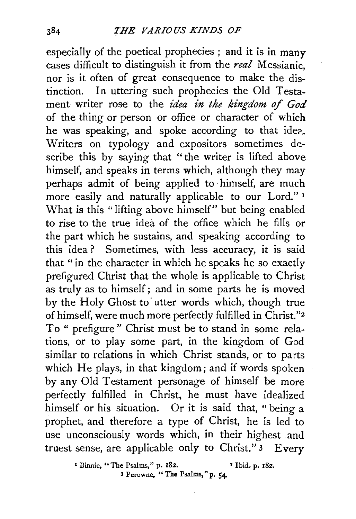especially of the poetical prophecies ; and it is in many cases difficult to distinguish it from the *real* Messianic, nor is it often of great consequence to make the distinction. In uttering such prophecies the Old Testament writer rose to the *idea in the kingdom of God* of the thing or person or office or character of which he was speaking, and spoke according to that idea. Writers on typology and expositors sometimes describe this by saying that "the writer is lifted above himself, and speaks in terms which, although they may perhaps admit of being applied to himself, are much more easily and naturally applicable to our Lord." 1 What is this "lifting above himself" but being enabled to rise to the true idea of the office which he fills or the part which he sustains, and speaking according to this idea ? Sometimes, with less accuracy, it is said that " in the character in which he speaks he so exactly prefigured Christ that the whole is applicable to Christ as truly as to himself; and in some parts he is moved by the Holy Ghost to utter words which, though true of himself, were much more perfectly fulfilled in Christ."z To " prefigure " Christ must be to stand in some relations, or to play some part, in the kingdom of God similar to relations in which Christ stands, or to parts which He plays, in that kingdom; and if words spoken by any Old Testament personage of himself be more perfectly fulfilled in Christ, he must have idealized himself or his situation. Or it is said that, " being a prophet, and therefore a type of Christ, he is led to use unconsciously words which, in their highest and truest sense, are applicable only to Christ." 3 Every

> • Binnie, "The Psalms," p. 182. • Ibid. p. 182. <sup>3</sup> Perowne, "The Psalms," p. 54.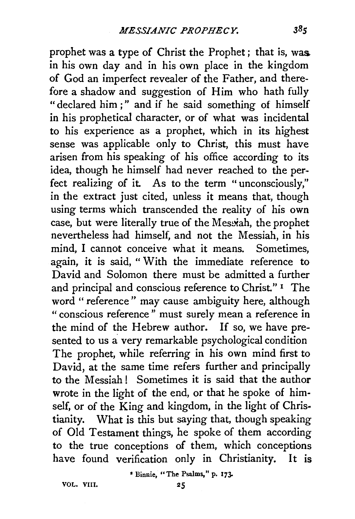prophet was a type of Christ the Prophet ; that is, was. in his own day and in his own place in the kingdom of God an imperfect revealer of the Father, and therefore a shadow and suggestion of Him who hath fully " declared him ; " and if he said something of himself in his prophetical character, or of what was incidental to his experience as a prophet, which in its highest sense was applicable only to Christ, this must have arisen from his speaking of his office according to its idea, though he himself had never reached to the perfect realizing of it. As to the term " unconsciously," in the extract just cited, unless it means that, though using terms which transcended the reality of his own case, but were literally true of the Messiah, the prophet nevertheless had himself, and not the Messiah, in his mind, I cannot conceive what it means. Sometimes, again, it is said, "With the immediate reference to David and Solomon there must be admitted a further and principal and conscious reference to Christ." <sup>1</sup> The word " reference" may cause ambiguity here, although "conscious reference" must surely mean a reference in the mind of the Hebrew author. If so, we have presented to us a very remarkable psychological condition The prophet, while referring in his own mind first to David, at the same time refers further and principally to the Messiah! Sometimes it is said that the author wrote in the light of the end, or that he spoke of himself, or of the King and kingdom, in the light of Christianity. What is this but saying that, though speaking of Old Testament things, he spoke of them according to the true conceptions of them, which conceptions have found verification only in Christianity. It is

• Binnie, " The Psalms," p. 173-

VOL. VIII.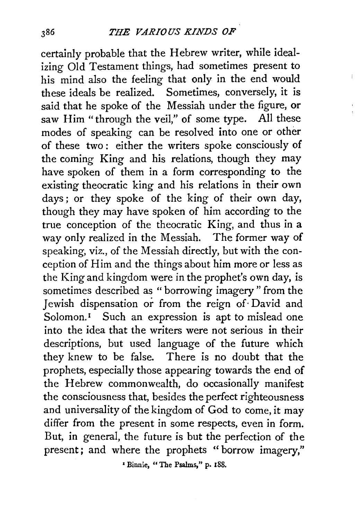certainly probable that the Hebrew writer, while idealizing Old Testament things, had sometimes present to his mind also the feeling that only in the end would these ideals be realized. Sometimes, conversely, it is said that he spoke of the Messiah under the figure, or saw Him "through the veil," of some type. All these modes of speaking can be resolved into one or other of these two : either the writers spoke consciously of the coming King and his relations, though they may have spoken of them in a form corresponding to the existing theocratic king and his relations in their own days; or they spoke of the king of their own day, though they may have spoken of him according to the true conception of the theocratic King, and thus in a way only realized in the Messiah. The former way of speaking, viz., of the Messiah directly, but with the conception of Him and the things about him more or less as the King and kingdom were in the prophet's own day, is sometimes described as " borrowing imagery " from the Jewish dispensation or from the reign of· David and Solomon.<sup>1</sup> Such an expression is apt to mislead one into the idea that the writers were not serious in their descriptions, but used language of the future which they knew to be false. There is no doubt that the prophets, especially those appearing towards the end of the Hebrew commonwealth, do occasionally manifest the consciousness that, besides the perfect righteousness and universality of the kingdom of God to come, it may differ from the present in some respects, even in form. But, in general, the future is but the perfection of the present; and where the prophets "borrow imagery,"

• Binnie, "The Psalms," p. 188.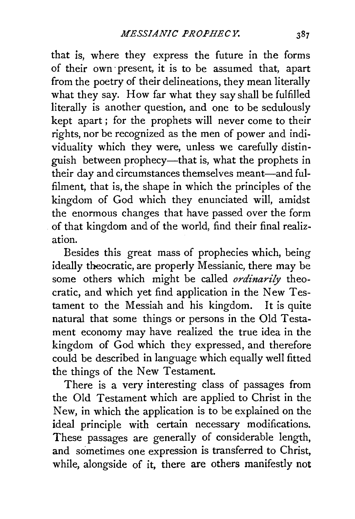that is, where they express the future in the forms of their own· present, it is to be assumed that, apart from the poetry of their delineations, they mean literally what they say. How far what they say shall be fulfilled literally is another question, and one to be sedulously kept apart ; for the prophets will never come to their rights, nor be recognized as the men of power and individuality which they were, unless we carefully distinguish between prophecy-that is, what the prophets in their day and circumstances themselves meant-and fulfilment, that is, the shape in which the principles of the kingdom of God which they enunciated will, amidst the enormous changes that have passed over the form of that kingdom and of the world, find their final realization.

Besides this great mass of prophecies which, being ideally theocratic, are properly Messianic, there may be some others which might be called *ordinarily* theocratic, and which yet find application in the New Testament to the Messiah and his kingdom. It is quite natural that some things or persons in the Old Testament economy may have realized the true idea in the kingdom of God which they expressed, and therefore could be described in language which equally well fitted the things of the New Testament.

There is a very interesting class of passages from the Old Testament which are applied to Christ in the New, in which the application is to be explained on the ideal principle with certain necessary modifications. These passages are generally of considerable length, and sometimes one expression is transferred to Christ, while, alongside of it, there are others manifestly not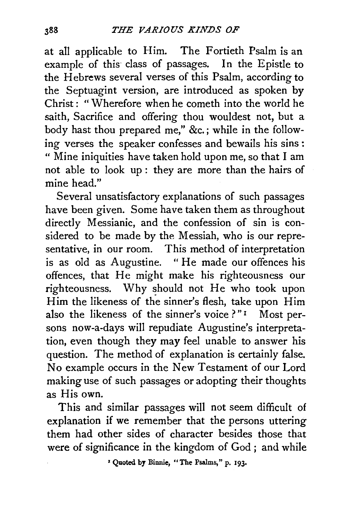at all applicable to Him. The Fortieth Psalm is an example of this class of passages. In the Epistle to the Hebrews several verses of this Psalm, according to the Septuagint version, are introduced as spoken by Christ : " Wherefore when he cometh into the world he saith, Sacrifice and offering thou wouldest not, but a body hast thou prepared me," *&c.;* while in the following verses the speaker confesses and bewails his sins : " Mine iniquities have taken hold upon me, so that I am not able to look up : they are more than the hairs of mine head."

Several unsatisfactory explanations of such passages have been given. Some have taken them as throughout directly Messianic, and the confession of sin is considered to be made by the Messiah, who is our representative, in our room. This method of interpretation is as old as Augustine. " He made our offences his offences, that He might make his righteousness our righteousness. Why should not He who took upon Him the likeness of the sinner's flesh, take upon Him also the likeness of the sinner's voice ?" $1$  Most persons now-a-days will repudiate Augustine's interpretation, even though they may feel unable to answer his question. The method of explanation is certainly false. No example occurs in the New Testament of our Lord making use of such passages or adopting their thoughts as His own.

This and similar passages will not seem difficult of explanation if we remember that the persons uttering them had other sides of character besides those that were of significance in the kingdom of God *;* and while

*•* Quoted by Binnie, "The Psalms," p. 193•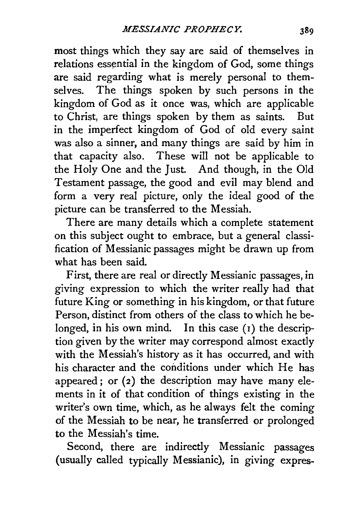most things which they say are said of themselves in relations essential in the kingdom of God, some things are said regarding what is merely personal to themselves. The things spoken by such persons in the kingdom of God as it once was, which are applicable to Christ, are things spoken by them as saints. But in the imperfect kingdom of God of old every saint was also a sinner, and many things are said by him in that capacity also. These will not be applicable to the Holy One and the Just. And though, in the Old Testament passage, the good and evil may blend and form a very real picture, only the ideal good of the picture can be transferred to the Messiah.

There are many details which a complete statement on this subject ought to embrace, but a general classification of Messianic passages might be drawn up from what has been said.

First, there are real or directly Messianic passages, in giving expression to which the writer really had that future King or something in his kingdom, or that future Person, distinct from others of the class to which he belonged, in his own mind. In this case  $(1)$  the description given by the writer may correspond almost exactly with the Messiah's history as it has occurred, and with his character and the conditions under which He has appeared; or  $(z)$  the description may have many elements in it of that condition of things existing in the writer's own time, which, as he always felt the coming of the Messiah to be near, he transferred or prolonged to the Messiah's time.

Second, there are indirectly Messianic passages (usually called typically Messianic), in giving expres-